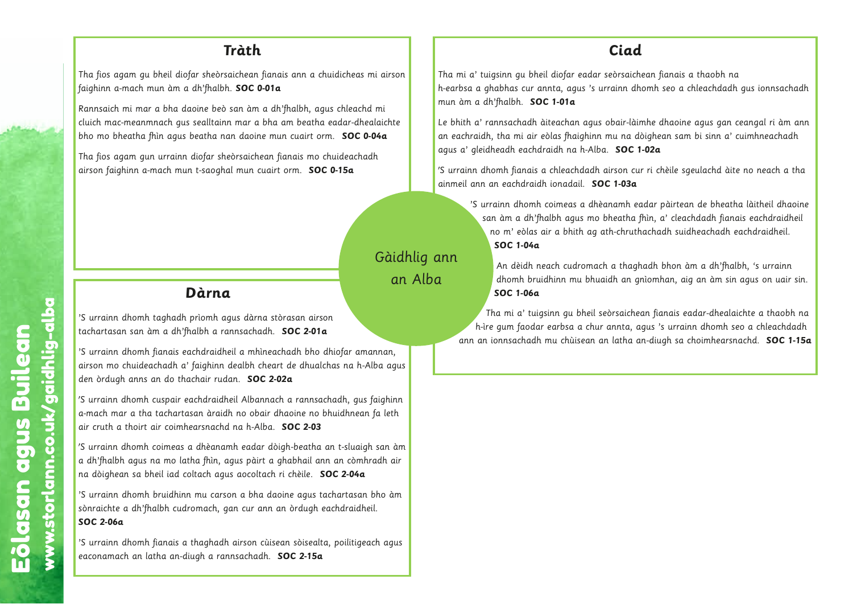Tha fios agam gu bheil diofar sheòrsaichean fianais ann a chuidicheas mi airson faighinn a-mach mun àm a dh'fhalbh. **SOC 0-01a**

Rannsaich mi mar a bha daoine beò san àm a dh'fhalbh, agus chleachd mi cluich mac-meanmnach gus sealltainn mar a bha am beatha eadar-dhealaichte bho mo bheatha fhìn agus beatha nan daoine mun cuairt orm. **SOC 0-04a**

Tha fios agam gun urrainn diofar sheòrsaichean fianais mo chuideachadh airson faighinn a-mach mun t-saoghal mun cuairt orm. **SOC 0-15a**

# **Dàrna**

'S urrainn dhomh taghadh prìomh agus dàrna stòrasan airson tachartasan san àm a dh'fhalbh a rannsachadh. **SOC 2-01a**

'S urrainn dhomh fianais eachdraidheil a mhìneachadh bho dhiofar amannan, airson mo chuideachadh a' faighinn dealbh cheart de dhualchas na h-Alba agus den òrdugh anns an do thachair rudan. **SOC 2-02a**

Gàidhlig ann

an Alba

w.storlann.co.uk/gaidhlig-albaan.co.uk/gaidhlig-albaan.co.uk/gaidhlig-albaan.co.uk/gaidhlig-albaan.co.uk/gaidhlig-albaan.co.uk/gaidhlig-albaan.co.uk/gaidhlig-albaan.co.uk/gaidhlig-albaan.co.uk/gaidhlig-albaan.co.uk/gaidhli

'S urrainn dhomh cuspair eachdraidheil Albannach a rannsachadh, gus faighinn a-mach mar a tha tachartasan àraidh no obair dhaoine no bhuidhnean fa leth air cruth a thoirt air coimhearsnachd na h-Alba. **SOC 2-03** agus<br>heil<br>heil<br>dan.co.uk<br>lheil<br>amhagus<br>son<br>gan<br>dheil Eòlasan agus Builean **àr**<br>iom<br>lbh<br>hdra<br>ighi<br>hair<br>dhèc<br>a fhì<br>ach<br>mu c<br>macl hadh |<br>| dh'fh<br>| ais ea<br>| dh a'<br>| do than<br>| sais a'<br>| dhinn<br>| cudr<br>| ais a man<br>-Alb<br>us fa<br>igh s<br>igh s<br>a<br>m bl<br>heil. iofar<br>as na<br>iadh, uidhn<br>n t-slu<br>an cò<br>**C 2-0**:<br>hartas<br>chdrai<br>poilit

'S urrainn dhomh coimeas a dhèanamh eadar dòigh-beatha an t-sluaigh san àm a dh'fhalbh agus na mo latha fhìn, agus pàirt a ghabhail ann an còmhradh air na dòighean sa bheil iad coltach agus aocoltach ri chèile. **SOC 2-04a** nan,<br>a agus<br>ighinn<br>i leth<br>an àm<br>io àm<br>. agus

'S urrainn dhomh bruidhinn mu carson a bha daoine agus tachartasan bho àm sònraichte a dh'fhalbh cudromach, gan cur ann an òrdugh eachdraidheil. **SOC 2-06a**

,<br>'S urrainn dhomh fianais a thaghadh airson cùisean sòisealta, poilitigeach agus eaconamach an latha an-diugh a rannsachadh. **SOC 2-15a** ww

#### **Ciad**

Tha mi a' tuigsinn gu bheil diofar eadar seòrsaichean fianais a thaobh na h-earbsa a ghabhas cur annta, agus 's urrainn dhomh seo a chleachdadh gus ionnsachadh mun àm a dh'fhalbh. **SOC 1-01a**

Le bhith a' rannsachadh àiteachan agus obair-làimhe dhaoine agus gan ceangal ri àm ann an eachraidh, tha mi air eòlas fhaighinn mu na dòighean sam bi sinn a' cuimhneachadh agus a' gleidheadh eachdraidh na h-Alba. **SOC 1-02a**

'S urrainn dhomh fianais a chleachdadh airson cur ri chèile sgeulachd àite no neach a tha ainmeil ann an eachdraidh ionadail. **SOC 1-03a**

'S urrainn dhomh coimeas a dhèanamh eadar pàirtean de bheatha làitheil dhaoine san àm a dh'fhalbh agus mo bheatha fhìn, a' cleachdadh fianais eachdraidheil no m' eòlas air a bhith ag ath-chruthachadh suidheachadh eachdraidheil. **SOC 1-04a**

An dèidh neach cudromach a thaghadh bhon àm a dh'fhalbh, 's urrainn dhomh bruidhinn mu bhuaidh an gnìomhan, aig an àm sin agus on uair sin. **SOC 1-06a**

Tha mi a' tuigsinn gu bheil seòrsaichean fianais eadar-dhealaichte a thaobh na h-ìre gum faodar earbsa a chur annta, agus 's urrainn dhomh seo a chleachdadh ann an ionnsachadh mu chùisean an latha an-diugh sa choimhearsnachd. **SOC 1-15a** bhe<br>a c<br>isea earbs<br>mu ch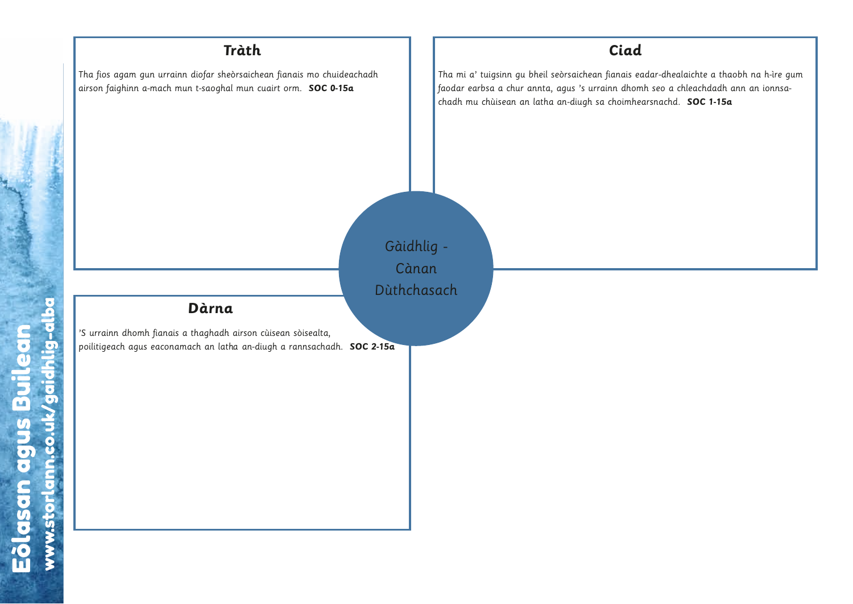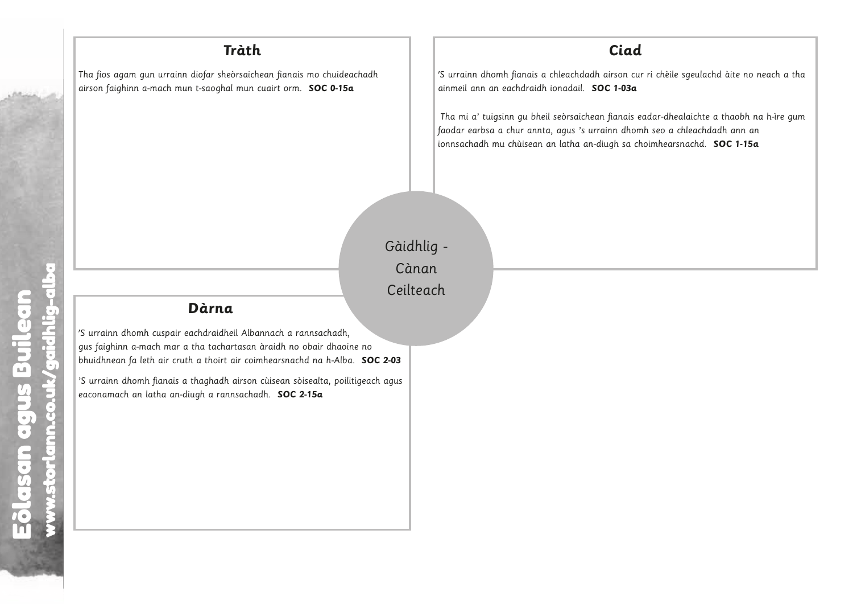Tha fios agam gun urrainn diofar sheòrsaichean fianais mo chuideachadh airson faighinn a-mach mun t-saoghal mun cuairt orm. **SOC 0-15a**

#### **Ciad**

'S urrainn dhomh fianais a chleachdadh airson cur ri chèile sgeulachd àite no neach a tha ainmeil ann an eachdraidh ionadail. **SOC 1-03a**

Tha mi a' tuigsinn gu bheil seòrsaichean fianais eadar-dhealaichte a thaobh na h-ìre gum faodar earbsa a chur annta, agus 's urrainn dhomh seo a chleachdadh ann an ionnsachadh mu chùisean an latha an-diugh sa choimhearsnachd. **SOC 1-15a**

Eòlasan agus Builean Eòlasan agus Builean www.storlann.co.uk/gaidhlig-alba www.storlann.co.uk/gaidhlig-alba

Gàidhlig - Cànan Ceilteach Càna<br>Ceiltec<br>c 2-03<br>h agus Builean

#### **Dàrna**

'S urrainn dhomh cuspair eachdraidheil Albannach a rannsachadh, gus faighinn a-mach mar a tha tachartasan àraidh no obair dhaoine no bhuidhnean fa leth air cruth a thoirt air coimhearsnachd na h-Alba. **SOC 2-03** ir each<br>ir a th<br>ruth c<br>s a th<br>n-diug **urn**<br>draic<br>tacl<br>ghac<br>a re e no<br>. **SO(**<br>.<br>. www.storlann.co.uk/gaidhlig-alba **Eòlasan achdraidheil Atha tachartasan achoirt air anns an coilean**<br>Builean Atharta a thoirt air anns an<br>ugh a ranns anns anns anns anns an comhairtean.

'S urrainn dhomh fianais a thaghadh airson cùisean sòisealta, poilitigeach agus eaconamach an latha an-diugh a rannsachadh. **SOC 2-15a**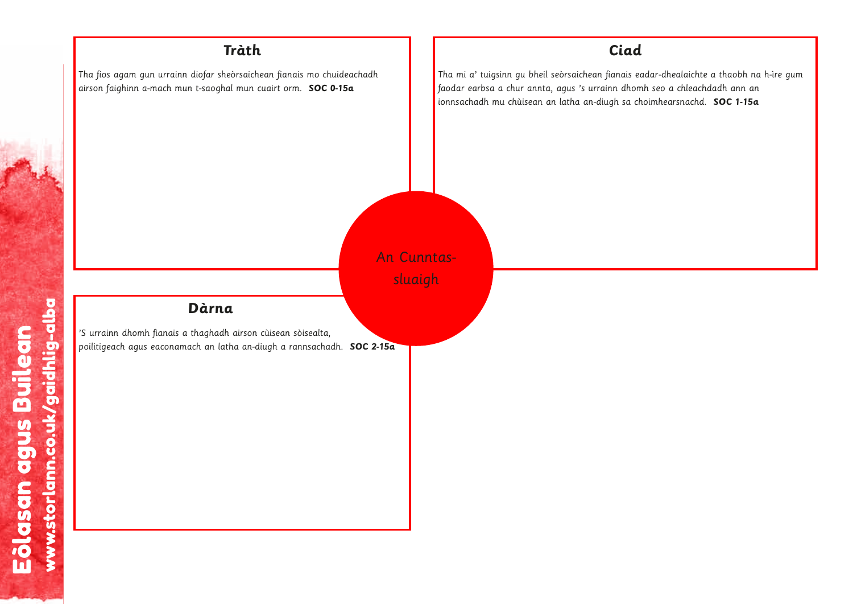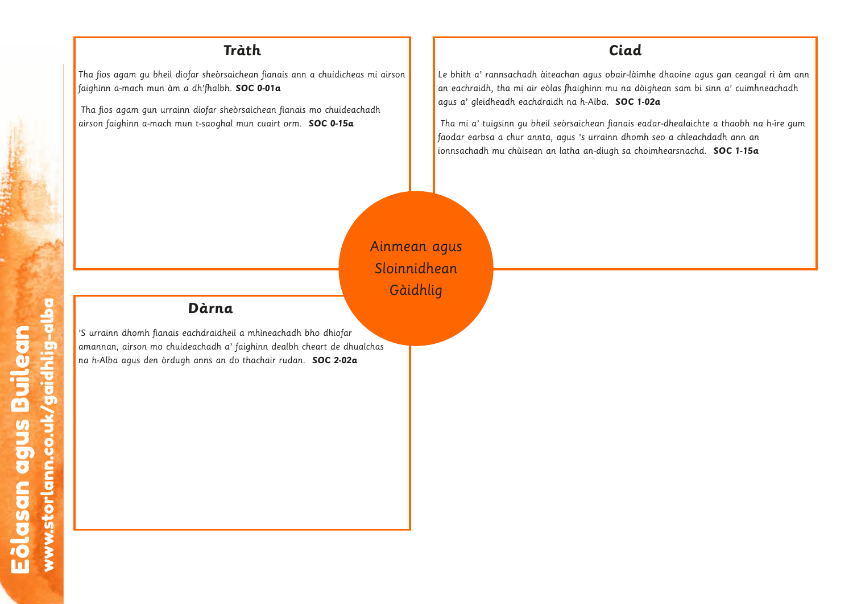Tha fios agam gu bheil diofar sheòrsaichean fianais ann a chuidicheas mi airson faighinn a-mach mun àm a dh'fhalbh. **SOC 0-01a**

Tha fios agam gun urrainn diofar sheòrsaichean fianais mo chuideachadh airson faighinn a-mach mun t-saoghal mun cuairt orm. **SOC 0-15a**

#### **Ciad**

Le bhith a' rannsachadh àiteachan agus obair-làimhe dhaoine agus gan ceangal ri àm ann an eachraidh, tha mi air eòlas fhaighinn mu na dòighean sam bi sinn a' cuimhneachadh agus a' gleidheadh eachdraidh na h-Alba. **SOC 1-02a**

Tha mi a' tuigsinn gu bheil seòrsaichean fianais eadar-dhealaichte a thaobh na h-ìre gum faodar earbsa a chur annta, agus 's urrainn dhomh seo a chleachdadh ann an ionnsachadh mu chùisean an latha an-diugh sa choimhearsnachd. **SOC 1-15a**

Ainmean agus Sloinnidhean Gàidhlig

w.storlan

#### **Dàrna**

'S urrainn dhomh fianais eachdraidheil a mhìneachadh bho dhiofar amannan, airson mo chuideachadh a' faighinn dealbh cheart de dhualchas na h-Alba agus den òrdugh anns an do thachair rudan. **SOC 2-02a u.**<br>eil a<br>do t ndraid<br>chadh<br>nns ai eolasan agus Builean agus Builean agus Builean ag an scríbhneoir a bhliain 1976.<br>Tagairtí  $has$ far<br>dhua<br>**-02a**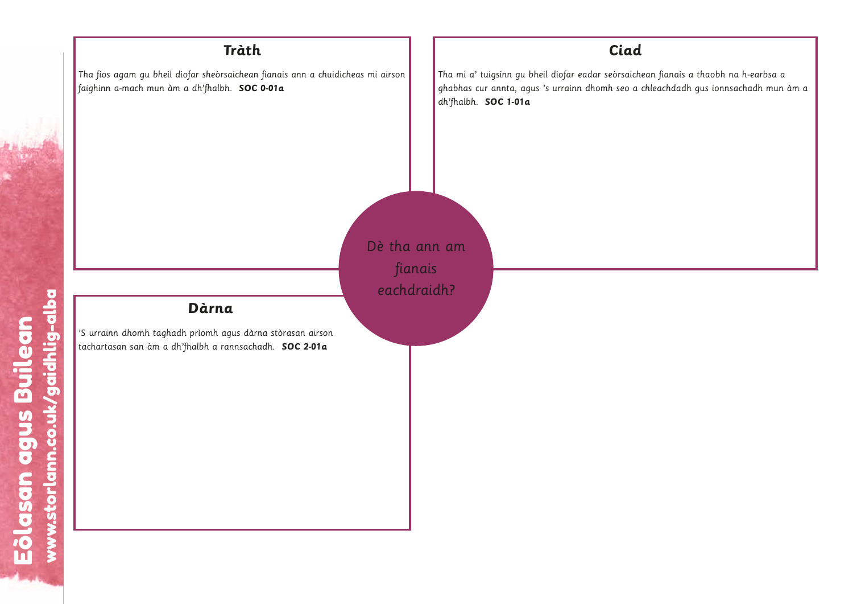

Eòlasan agus Builean Eòlasan agus Builean<br>www.storlann.co.uk/gaidhlig-alba w.storlann.co.uk/gaidhlig-alba Eòlasan agus Builean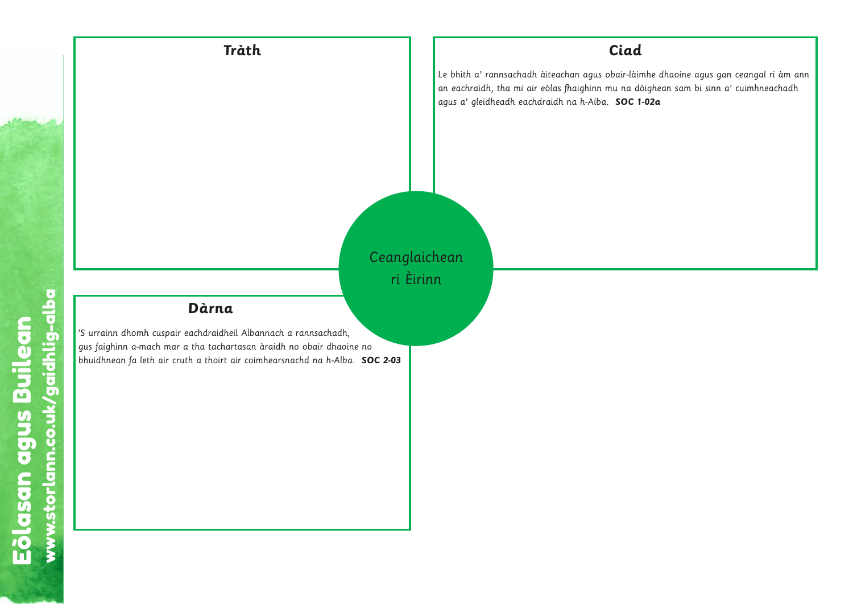

Eòlasan agus Builean www.storlann.co.uk/gaidhlig-alba Eōlasan agus Builean<br>www.storlann.co.uk/gaidhlig-alba w.storlann.co.uk/gaidhlig-alba Eòlasan agus Builean

w.storlann.co.uk/gaidhlig-albaan.co.uk/gaidhlig-albaan.co.uk/gaidhlig-albaan.co.uk/gaidhlig-albaan.co.uk/gaidh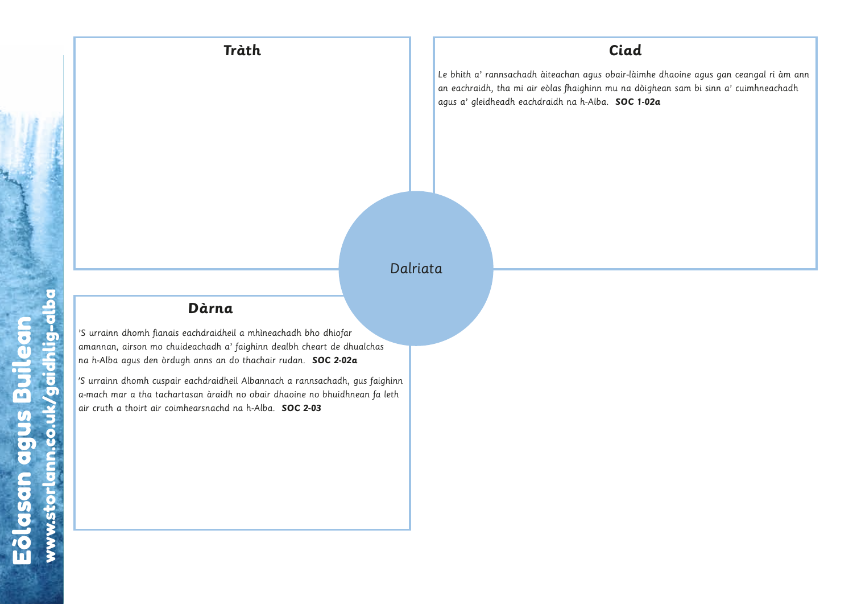### Dalriata

w.storlann.co.uk/gaidhlig-albaan.co.uk/gaidhlig-albaan.co.uk/gaidhlig-albaan.co.uk/gaidhlig-albaan.co.uk/gaidhlig-albaan.co.uk/gaidhlig-albaan.co.uk/gaidhlig-albaan.co.uk/gaidhlig-albaan.co.uk/gaidhlig-albaan.co.uk/gaidhli

#### **Dàrna**

'S urrainn dhomh fianais eachdraidheil a mhìneachadh bho dhiofar amannan, airson mo chuideachadh a' faighinn dealbh cheart de dhualchas na h-Alba agus den òrdugh anns an do thachair rudan. **SOC 2-02a** 

'S urrainn dhomh cuspair eachdraidheil Albannach a rannsachadh, gus faighinn a-mach mar a tha tachartasan àraidh no obair dhaoine no bhuidhnean fa leth air cruth a thoirt air coimhearsnachd na h-Alba. **SOC 2-03 a**<br>heil<br>a' fido<br>heil<br>dh nd nd chdrai<br>achad<br>anns (<br>chdrai<br>an àrannan s<br>ghinn<br>leth **u.storlann.co.uk**<br>U.storlann.com<br>U.storland<br>Labaidhlight<br>Albaidhlight.com achdra<br>eachac<br>anns<br>achdra<br>san àr<br>earsna w.storlann.co.uk/gaidhlig-albaan.co.uk/gaidhlig-albaan.co.uk/gaidhlig-albaan.co.uk/gaidhlig-albaan.co.uk/gaidh<br>Lig-albaan.co.uk/gaidhlig-albaan.co.uk/gaidhlig-albaan.co.uk/gaidhlig-albaan.co.uk/gaidhlig-albaan.co.uk/gaidh has<br>faighir<br>fa letl w.storland.com<br>diagram<br>albaa baada baada baada baada baada baada baada baada baada baada baada baada baada baada baada baada baada ba<br>albaa baada baada baada baada baada baada baada baada baada baada baada baada baada baad ofar<br>Palua<br>Ah, gu<br>Ah, guidhnec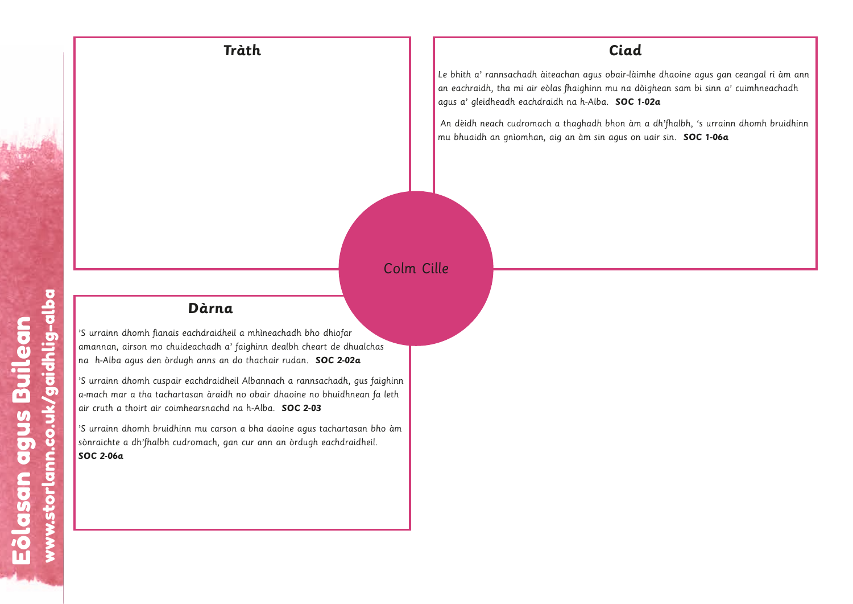

An dèidh neach cudromach a thaghadh bhon àm a dh'fhalbh, 's urrainn dhomh bruidhinn mu bhuaidh an gnìomhan, aig an àm sin agus on uair sin. **SOC 1-06a**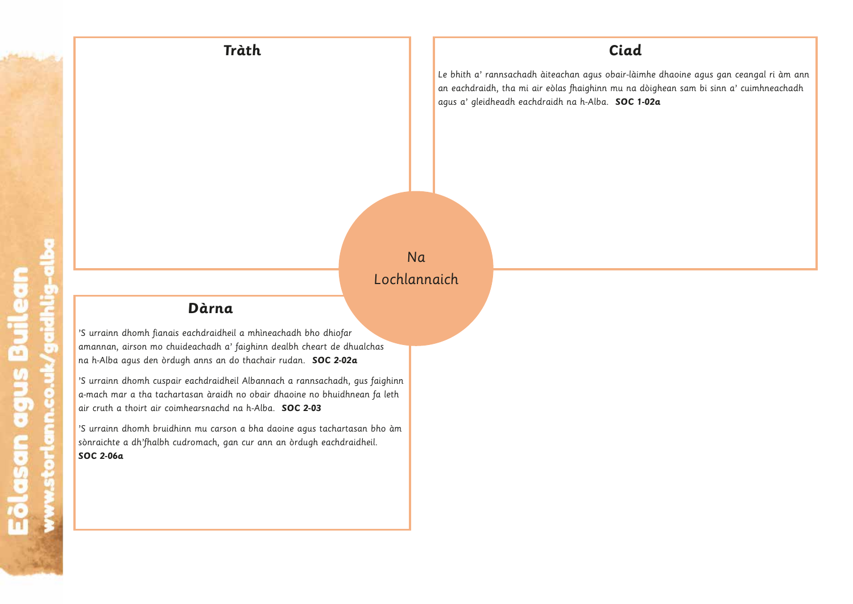**Tràth Ciad**

Le bhith a' rannsachadh àiteachan agus obair-làimhe dhaoine agus gan ceangal ri àm ann an eachdraidh, tha mi air eòlas fhaighinn mu na dòighean sam bi sinn a' cuimhneachadh agus a' gleidheadh eachdraidh na h-Alba. **SOC 1-02a**

w.storlann.co.uk/gaidhlig-albaan.co.uk/gaidhlig-albaan.co.uk/gaidhlig-albaan.co.uk/gaidhlig-albaan.co.uk/gaidhlig-albaan.co.uk/gaidhlig-albaan.co.uk/gaidhlig-albaan.co.uk/gaidhlig-albaan.co.uk/gaidhlig-albaan.co.uk/gaidhli

w.storlann.co.uk/gaidhlig-albaan.co.uk/gaidhlig-albaan.co.uk/gaidhlig-albaan.co.uk/gaidhlig-albaan.co.uk/gaidhlig-albaan.co.uk/gaidhlig-albaan.co.uk/gaidhlig-albaan.co.uk/gaidhlig-albaan.co.uk/gaidhlig-albaan.co.uk/gaidhli

w.storlann.co.uk/gaidhlig-albaan.co.uk/gaidhlig-albaan.co.uk/gaidhlig-albaan.co.uk/gaidhlig-albaan.co.uk/gaidhlig-albaan.co.uk/gaidhlig-albaan.co.uk/gaidhlig-albaan.co.uk/gaidhlig-albaan.co.uk/gaidhlig-albaan.co.uk/gaidhli

## Na Lochlannaich

ww

#### **Dàrna**

'S urrainn dhomh fianais eachdraidheil a mhìneachadh bho dhiofar amannan, airson mo chuideachadh a' faighinn dealbh cheart de dhualchas na h-Alba agus den òrdugh anns an do thachair rudan. **SOC 2-02a**

'S urrainn dhomh cuspair eachdraidheil Albannach a rannsachadh, gus faighinn a-mach mar a tha tachartasan àraidh no obair dhaoine no bhuidhnean fa leth air cruth a thoirt air coimhearsnachd na h-Alba. **SOC 2-03 urn**<br>Iraid<br>anns a<br>draid<br>ach,<br>ach, D<br>seach<br>uidean<br>ugh a<br>iireac<br>antasa<br>hinn m<br>cudron och.<br>Stor<br>Lightnig<br>and and albaan uualcha<br>**a**<br>gus faean fi<br>san blidheil.

'S urrainn dhomh bruidhinn mu carson a bha daoine agus tachartasan bho àm sònraichte a dh'fhalbh cudromach, gan cur ann an òrdugh eachdraidheil. **SOC 2-06a**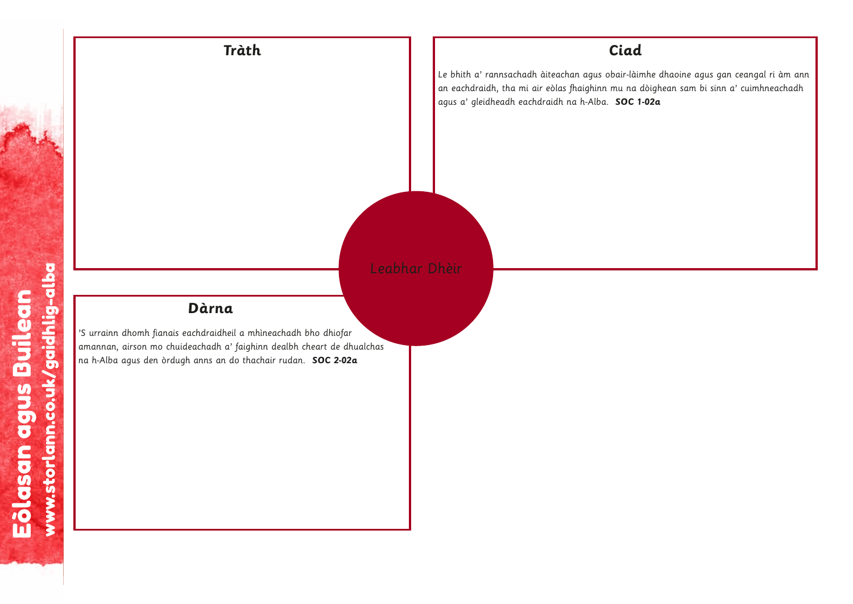

w.storlann.co.uk/gaidhlig-albaan.co.uk/gaidhlig-albaan.co.uk/gaidhlig-albaan.co.uk/gaidhlig-albaan.co.uk/gaidhlig-albaan.co.uk/gaidhlig-albaan.co.uk/gaidhlig-albaan.co.uk/gaidhlig-albaan.co.uk/gaidhlig-albaan.co.uk/gaidhli

w.storlann.co.uk/gaidhlig-albaan.co.uk/gaidhlig-albaan.co.uk/gaidhlig-albaan.co.uk/gaidhlig-albaan.co.uk/gaidhlig-albaan.co.uk/gaidhlig-albaan.co.uk/gaidhlig-albaan.co.uk/gaidhlig-albaan.co.uk/gaidhlig-albaan.co.uk/gaidhli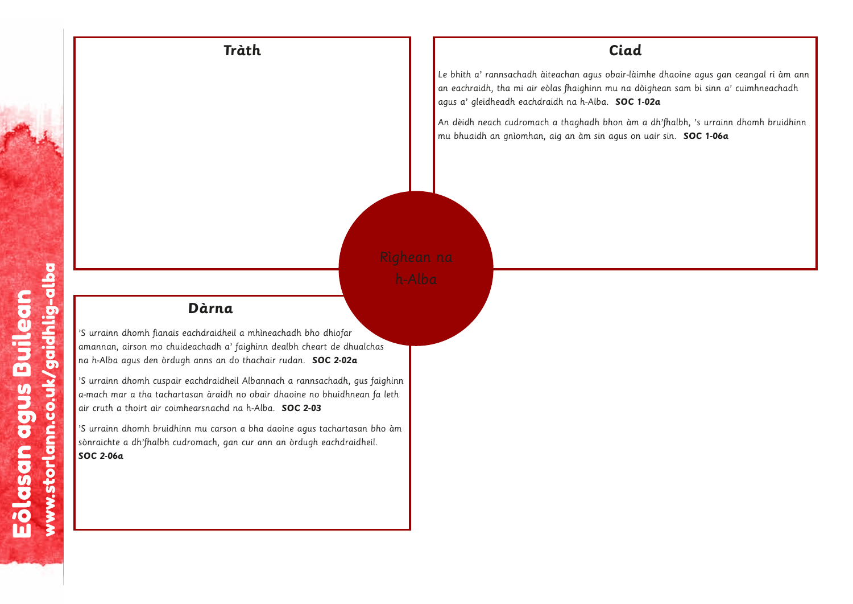

An dèidh neach cudromach a thaghadh bhon àm a dh'fhalbh, 's urrainn dhomh bruidhinn mu bhuaidh an gnìomhan, aig an àm sin agus on uair sin. **SOC 1-06a**

w.storlann.co.uk/gaidhlig-albaan.co.uk/gaidhlig-albaan.co.uk/gaidhlig-albaan.co.uk/gaidhlig-albaan.co.uk/gaidhlig-albaan.co.uk/gaidhlig-albaan.co.uk/gaidhlig-albaan.co.uk/gaidhlig-albaan.co.uk/gaidhlig-albaan.co.uk/gaidhli

w.storlann.co.uk/gaidhlig-albaan.co.uk/gaidhlig-albaan.co.uk/gaidhlig-albaan.co.uk/gaidhlig-albaan.co.uk/gaidhlig-albaan.co.uk/gaidhlig-albaan.co.uk/gaidhlig-albaan.co.uk/gaidhlig-albaan.co.uk/gaidhlig-albaan.co.uk/gaidhli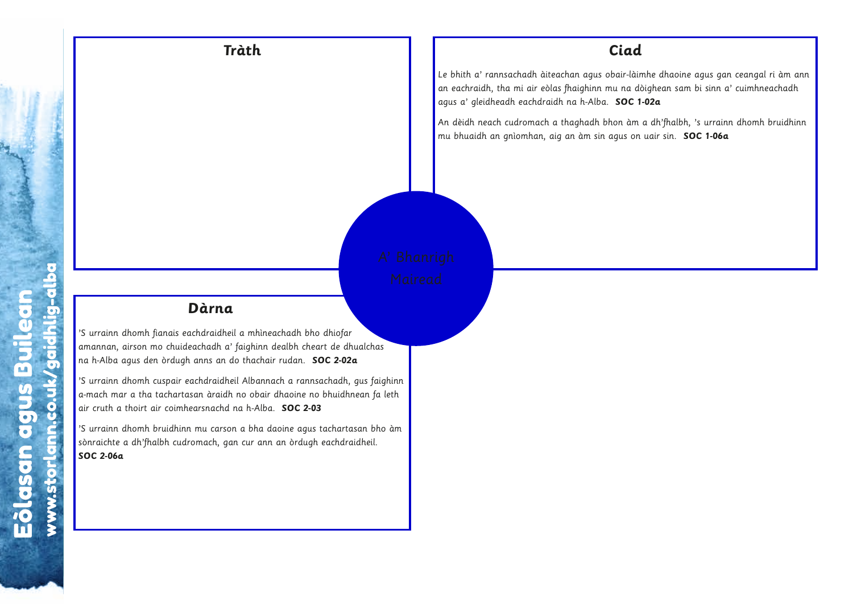

An dèidh neach cudromach a thaghadh bhon àm a dh'fhalbh, 's urrainn dhomh bruidhinn mu bhuaidh an gnìomhan, aig an àm sin agus on uair sin. **SOC 1-06a**

w.storlann.co.uk/gaidhlig-albaan.co.uk/gaidhlig-albaan.co.uk/gaidhlig-albaan.co.uk/gaidhlig-albaan.co.uk/gaidhlig-albaan.co.uk/gaidhlig-albaan.co.uk/gaidhlig-albaan.co.uk/gaidhlig-albaan.co.uk/gaidhlig-albaan.co.uk/gaidhli

w.storlann.co.uk/gaidhlig-albaan.co.uk/gaidhlig-albaan.co.uk/gaidhlig-albaan.co.uk/gaidhlig-albaan.co.uk/gaidhlig-albaan.co.uk/gaidhlig-albaan.co.uk/gaidhlig-albaan.co.uk/gaidhlig-albaan.co.uk/gaidhlig-albaan.co.uk/gaidhli

w.storlann.co.uk/gaidhlig-albaan.co.uk/gaidhlig-albaan.co.uk/gaidhlig-albaan.co.uk/gaidhlig-albaan.co.uk/gaidhlig-albaan.co.uk/gaidhlig-albaan.co.uk/gaidhlig-albaan.co.uk/gaidhlig-albaan.co.uk/gaidhlig-albaan.co.uk/gaidhli w.storlann.co.uk/gaidhlig-albaan.co.uk/gaidhlig-albaan.co.uk/gaidhlig-albaan.co.uk/gaidhlig-albaan.co.uk/gaidhlig-albaan.co.uk/gaidhlig-albaan.co.uk/gaidhlig-albaan.co.uk/gaidhlig-albaan.co.uk/gaidhlig-albaan.co.uk/gaidhli



 $\mathbf l$ 

'S urrainn dhomh fianais eachdraidheil a mhìneachadh bho dhiofar amannan, airson mo chuideachadh a' faighinn dealbh cheart de dhualchas na h-Alba agus den òrdugh anns an do thachair rudan. **SOC 2-02a**

'S urrainn dhomh cuspair eachdraidheil Albannach a rannsachadh, gus faighinn a-mach mar a tha tachartasan àraidh no obair dhaoine no bhuidhnean fa leth s<br>Eòlainn<br>Eileth<br>Colam nas<br>faighir<br>fa leth<br>bho àr<br>il.

'S urrainn dhomh bruidhinn mu carson a bha daoine agus tachartasan bho àm sònraichte a dh'fhalbh cudromach, gan cur ann an òrdugh eachdraidheil.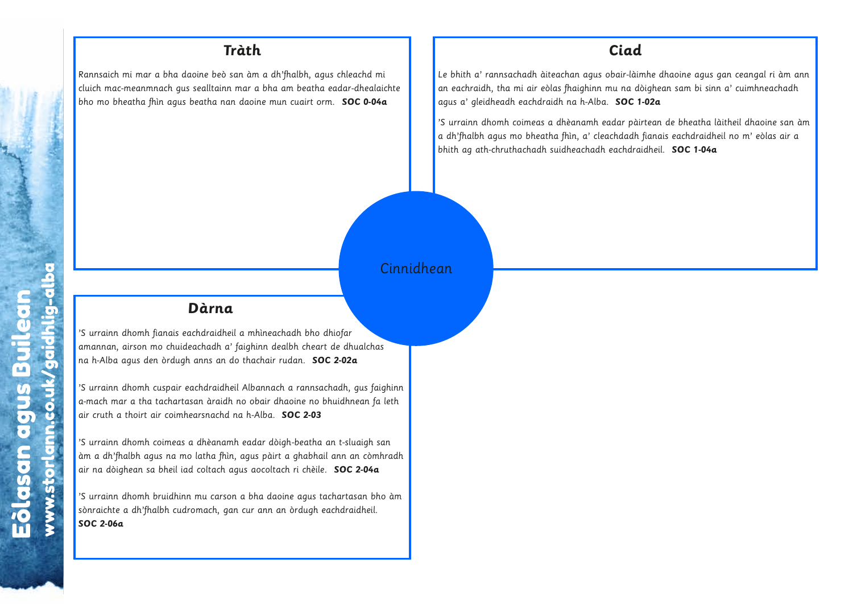Rannsaich mi mar a bha daoine beò san àm a dh'fhalbh, agus chleachd mi cluich mac-meanmnach gus sealltainn mar a bha am beatha eadar-dhealaichte bho mo bheatha fhìn agus beatha nan daoine mun cuairt orm. **SOC 0-04a**

#### **Ciad**

Le bhith a' rannsachadh àiteachan agus obair-làimhe dhaoine agus gan ceangal ri àm ann an eachraidh, tha mi air eòlas fhaighinn mu na dòighean sam bi sinn a' cuimhneachadh agus a' gleidheadh eachdraidh na h-Alba. **SOC 1-02a**

'S urrainn dhomh coimeas a dhèanamh eadar pàirtean de bheatha làitheil dhaoine san àm a dh'fhalbh agus mo bheatha fhìn, a' cleachdadh fianais eachdraidheil no m' eòlas air a bhith ag ath-chruthachadh suidheachadh eachdraidheil. **SOC 1-04a**

w.storlann.co.uk/gaidhlig-albaan.co.uk/gaidhlig-albaan.co.uk/gaidhlig-albaan.co.uk/gaidhlig-albaan.co.uk/gaidhlig-albaan.co.uk/gaidhlig-albaan.co.uk/gaidhlig-albaan.co.uk/gaidhlig-albaan.co.uk/gaidhlig-albaan.co.uk/gaidhli

w.storlann.co.uk/gaidhlig-albaan.co.uk/gaidhlig-albaan.co.uk/gaidhlig-albaan.co.uk/gaidhlig-albaan.co.uk/gaidhlig-albaan.co.uk/gaidhlig-albaan.co.uk/gaidhlig-albaan.co.uk/gaidhlig-albaan.co.uk/gaidhlig-albaan.co.uk/gaidhli

w.storlann.co.uk/gaidhlig-albaan.co.uk/gaidhlig-albaan.co.uk/gaidhlig-albaan.co.uk/gaidhlig-albaan.co.uk/gaidhlig-albaan.co.uk/gaidhlig-albaan.co.uk/gaidhlig-albaan.co.uk/gaidhlig-albaan.co.uk/gaidhlig-albaan.co.uk/gaidhli

w.storlann.co.uk/gaidhlig-albaan.co.uk/gaidhlig-albaan.co.uk/gaidhlig-albaan.co.uk/gaidhlig-albaan.co.uk/gaidhlig-albaan.co.uk/gaidhlig-albaan.co.uk/gaidhlig-albaan.co.uk/gaidhlig-albaan.co.uk/gaidhlig-albaan.co.uk/gaidhli w.storlann.co.uk/gaidhlig-albaan.co.uk/gaidhlig-albaan.co.uk/gaidhlig-albaan.co.uk/gaidhlig-albaan.co.uk/gaidhlig-albaan.co.uk/gaidhlig-albaan.co.uk/gaidhlig-albaan.co.uk/gaidhlig-albaan.co.uk/gaidhlig-albaan.co.uk/gaidhli

w.storlann.co.uk/gaidhlig-albaEòlasan agus Builean

# Cinnidhean idh<br>.co.uk<br>.co.uk w.<br>a<br>a<br>a<br>a<br>baidh

ww

#### **Dàrna**

'S urrainn dhomh fianais eachdraidheil a mhìneachadh bho dhiofar amannan, airson mo chuideachadh a' faighinn dealbh cheart de dhualchas na h-Alba agus den òrdugh anns an do thachair rudan. **SOC 2-02a a**<br>heil a' fido<br>lheil and numh<br>hìn, nagino. **u.d.**<br>Unexuality dheil<br>Albaidh hd r<br>Albaidhigh<br>Sampson **urn**<br>Iraid<br>Ins a<br>draidha d<br>Albach<br>I can

'S urrainn dhomh cuspair eachdraidheil Albannach a rannsachadh, gus faighinn a-mach mar a tha tachartasan àraidh no obair dhaoine no bhuidhnean fa leth air cruth a thoirt air coimhearsnachd na h-Alba. **SOC 2-03**

'S urrainn dhomh coimeas a dhèanamh eadar dòigh-beatha an t-sluaigh san àm a dh'fhalbh agus na mo latha fhìn, agus pàirt a ghabhail ann an còmhradh air na dòighean sa bheil iad coltach agus aocoltach ri chèile. **SOC 2-04a** s<br>Eòlann<br>an<br>Aradh<br>o àm inr<br>inn<br>inn<br>ith<br>adh

'S urrainn dhomh bruidhinn mu carson a bha daoine agus tachartasan bho àm sònraichte a dh'fhalbh cudromach, gan cur ann an òrdugh eachdraidheil.<br><mark>SOC 2-06a</mark> **SOC 2-06a Dàri**<br>Chdrai<br>achad<br>anns d<br>chèan<br>dhèan<br>latha<br>colta<br>mu co<br>mach **Particular agus Builean**<br>
Surrainn dhomh fianais eachdraidheil a mhineachadh bho dhiofar<br>
amannan, airson mo chuideachadh a' faighinn deabh cheart de dhualchas<br>
na h-Alba agus den òrdugh anns an do thachair rudan. **SOC 2-Dàr**<br>achdra<br>eachar<br>anns achdra<br>a dhèid<br>a dhèid<br>a lunu c<br>unu comacl has<br>faighi<br>fa let<br>h san<br>mhrao<br>**4a**<br>bho à<br>il. **D**<br>seach<br>uidean<br>ugh a<br>ireac<br>artasa<br>mheal<br>as a c<br>umo ll<br>id d<br>hinn m<br>cudron alchas<br>us faig<br>uigh sc<br>inh<br>**.04a**<br>an bheil.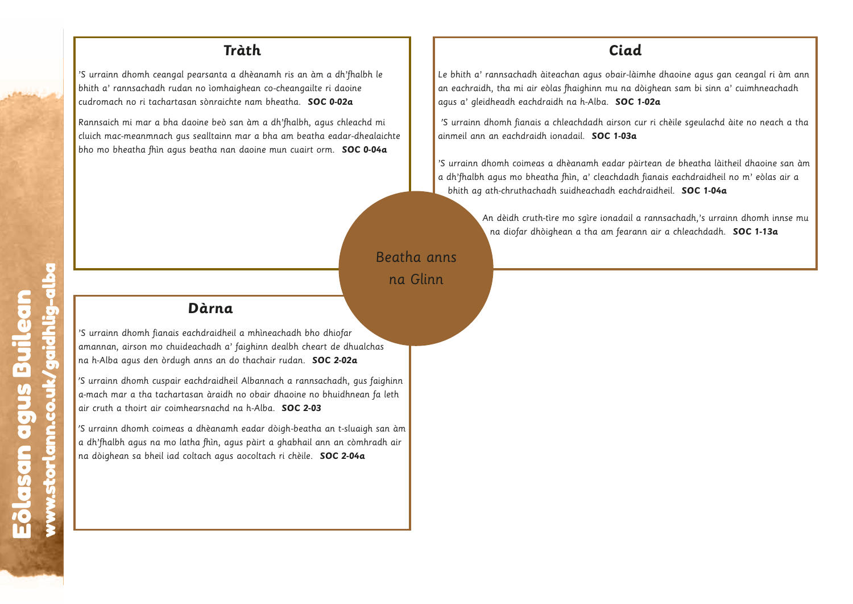'S urrainn dhomh ceangal pearsanta a dhèanamh ris an àm a dh'fhalbh le bhith a' rannsachadh rudan no ìomhaighean co-cheangailte ri daoine cudromach no ri tachartasan sònraichte nam bheatha. **SOC 0-02a**

Rannsaich mi mar a bha daoine beò san àm a dh'fhalbh, agus chleachd mi cluich mac-meanmnach gus sealltainn mar a bha am beatha eadar-dhealaichte bho mo bheatha fhìn agus beatha nan daoine mun cuairt orm. **SOC 0-04a**

#### **Ciad**

Le bhith a' rannsachadh àiteachan agus obair-làimhe dhaoine agus gan ceangal ri àm ann an eachraidh, tha mi air eòlas fhaighinn mu na dòighean sam bi sinn a' cuimhneachadh agus a' gleidheadh eachdraidh na h-Alba. **SOC 1-02a**

'S urrainn dhomh fianais a chleachdadh airson cur ri chèile sgeulachd àite no neach a tha ainmeil ann an eachdraidh ionadail. **SOC 1-03a**

'S urrainn dhomh coimeas a dhèanamh eadar pàirtean de bheatha làitheil dhaoine san àm a dh'fhalbh agus mo bheatha fhìn, a' cleachdadh fianais eachdraidheil no m' eòlas air a bhith ag ath-chruthachadh suidheachadh eachdraidheil. **SOC 1-04a**

w.storlann.co.uk/gaidhlig-albaan.co.uk/gaidhlig-albaan.co.uk/gaidhlig-albaan.co.uk/gaidhlig-albaan.co.uk/gaidhlig-albaan.co.uk/gaidhlig-albaan.co.uk/gaidhlig-albaan.co.uk/gaidhlig-albaan.co.uk/gaidhlig-albaan.co.uk/gaidhli

w.storlann.co.uk/gaidhlig-albaan.co.uk/gaidhlig-albaan.co.uk/gaidhlig-albaan.co.uk/gaidhlig-albaan.co.uk/gaidhlig-albaan.co.uk/gaidhlig-albaan.co.uk/gaidhlig-albaan.co.uk/gaidhlig-albaan.co.uk/gaidhlig-albaan.co.uk/gaidhli

An dèidh cruth-tìre mo sgìre ionadail a rannsachadh,'s urrainn dhomh innse mu na diofar dhòighean a tha am fearann air a chleachdadh. **SOC 1-13a**

w.storlann.co.uk/gaidhlig-albaan.co.uk/gaidhlig-albaan.co.uk/gaidhlig-albaan.co.uk/gaidhlig-albaan.co.uk/gaidhlig-albaan.co.uk/gaidhlig-albaan.co.uk/gaidhlig-albaan.co.uk/gaidhlig-albaan.co.uk/gaidhlig-albaan.co.uk/gaidhli

w.storlann.co.uk/gaidhlig-albaan.co.uk/gaidhlig-albaan.co.uk/gaidhlig-albaan.co.uk/gaidhlig-albaan.co.uk/gaidhlig-albaan.co.uk/gaidhlig-albaan.co.uk/gaidhlig-albaan.co.uk/gaidhlig-albaan.co.uk/gaidhlig-albaan.co.uk/gaidhli

# Beatha anns na Glinn Gli<br>.<br>.

ww

#### **Dàrna**

'S urrainn dhomh fianais eachdraidheil a mhìneachadh bho dhiofar amannan, airson mo chuideachadh a' faighinn dealbh cheart de dhualchas na h-Alba agus den òrdugh anns an do thachair rudan. **SOC 2-02a**

'S urrainn dhomh cuspair eachdraidheil Albannach a rannsachadh, gus faighinn a-mach mar a tha tachartasan àraidh no obair dhaoine no bhuidhnean fa leth air cruth a thoirt air coimhearsnachd na h-Alba. **SOC 2-03 a**<br>heil<br>a' fido<br>heil<br>dh n<br>amh<br>agu<br>jus c **Dàri**<br>Chdrai<br>achad<br>ann àrann an àrann an àrann an àrann an àrann an àrann an àrann an àrann an dhèan<br>an fhìn **Establean agus Builean agus Builean a** mhineachadh bho dhiofar<br>
<sup>25</sup> urrainn dhomh pianais eachdraidheil a mhineachadh bho dhiofar<br>
na h-Alba agus den òrdugh anns an do thachair rudan. **SOC 2-02a**<br>
<sup>25</sup> urrainn dhomh cusp manus and the matter of the matter of the matter of the matter of the dividend and the state of the dividends of the matter and the matter of the dividends and the matter of the dividends and the matter of the dividends an **urn**<br>Iraid<br>Ins a<br>draic àrai<br>Ann,<br>Phìn,<br>ch ag **D**<br>Seach<br>uidean<br>ugh a<br>ir eacl<br>artasa<br>as a c<br>latha<br>d colta<br>d colta n.co.uk<br>istori<br>istorian<br>istorian uualcha<br>**a**<br>gus fa<br>laigh :<br>dimhra<br>**44** 

'S urrainn dhomh coimeas a dhèanamh eadar dòigh-beatha an t-sluaigh san àm a dh'fhalbh agus na mo latha fhìn, agus pàirt a ghabhail ann an còmhradh air na dòighean sa bheil iad coltach agus aocoltach ri chèile. **SOC 2-04a** s<br>Eòlann<br>Leth<br>Buileann am air

ww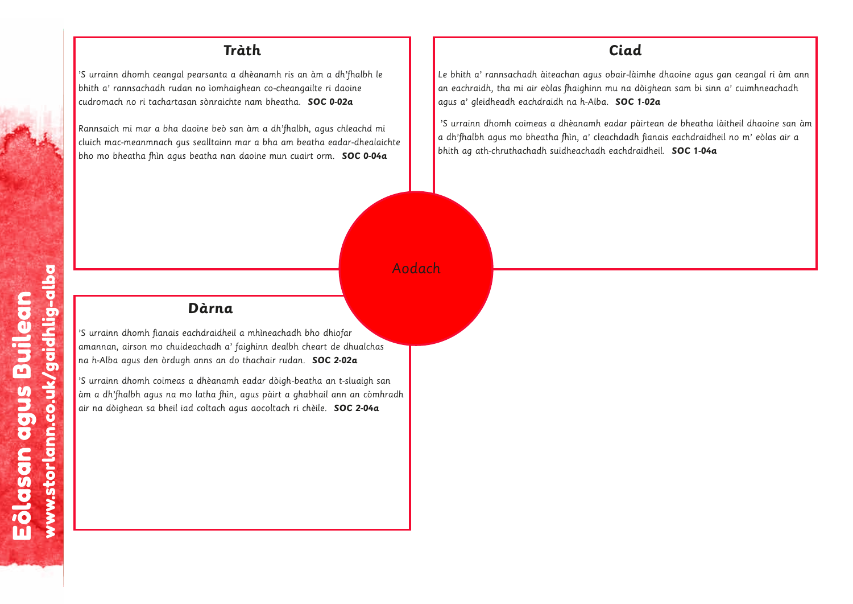'S urrainn dhomh ceangal pearsanta a dhèanamh ris an àm a dh'fhalbh le bhith a' rannsachadh rudan no ìomhaighean co-cheangailte ri daoine cudromach no ri tachartasan sònraichte nam bheatha. **SOC 0-02a**

Rannsaich mi mar a bha daoine beò san àm a dh'fhalbh, agus chleachd mi cluich mac-meanmnach gus sealltainn mar a bha am beatha eadar-dhealaichte bho mo bheatha fhìn agus beatha nan daoine mun cuairt orm. **SOC 0-04a**

#### **Ciad**

Le bhith a' rannsachadh àiteachan agus obair-làimhe dhaoine agus gan ceangal ri àm ann an eachraidh, tha mi air eòlas fhaighinn mu na dòighean sam bi sinn a' cuimhneachadh agus a' gleidheadh eachdraidh na h-Alba. **SOC 1-02a**

'S urrainn dhomh coimeas a dhèanamh eadar pàirtean de bheatha làitheil dhaoine san àm a dh'fhalbh agus mo bheatha fhìn, a' cleachdadh fianais eachdraidheil no m' eòlas air a bhith ag ath-chruthachadh suidheachadh eachdraidheil. **SOC 1-04a**

w.storlann.co.uk/gaidhlig-albaan.co.uk/gaidhlig-albaan.co.uk/gaidhlig-albaan.co.uk/gaidhlig-albaan.co.uk/gaidhlig-albaan.co.uk/gaidhlig-albaan.co.uk/gaidhlig-albaan.co.uk/gaidhlig-albaan.co.uk/gaidhlig-albaan.co.uk/gaidhli

w.storlann.co.uk/gaidhlig-albaan.co.uk/gaidhlig-albaan.co.uk/gaidhlig-albaan.co.uk/gaidhlig-albaan.co.uk/gaidhlig-albaan.co.uk/gaidhlig-albaan.co.uk/gaidhlig-albaan.co.uk/gaidhlig-albaan.co.uk/gaidhlig-albaan.co.uk/gaidhli w.storlann.co.uk/gaidhlig-albaan.co.uk/gaidhlig-albaan.co.uk/gaidhlig-albaan.co.uk/gaidhlig-albaan.co.uk/gaidhlig-albaan.co.uk/gaidhlig-albaan.co.uk/gaidhlig-albaan.co.uk/gaidhlig-albaan.co.uk/gaidhlig-albaan.co.uk/gaidhli

# Aodach da<br>.<br>.

#### **Dàrna**

'S urrainn dhomh fianais eachdraidheil a mhìneachadh bho dhiofar amannan, airson mo chuideachadh a' faighinn dealbh cheart de dhualchas na h-Alba agus den òrdugh anns an do thachair rudan. **SOC 2-02a**

'S urrainn dhomh coimeas a dhèanamh eadar dòigh-beatha an t-sluaigh san àm a dh'fhalbh agus na mo latha fhìn, agus pàirt a ghabhail ann an còmhradh air na dòighean sa bheil iad coltach agus aocoltach ri chèile. **SOC 2-04a a**<br>heil<br>anh indo<br>amh hìn, agi **Dàri**<br>Chdrai<br>achad<br>anns dhèa<br>latha<br>colta s<br>an<br>Inradh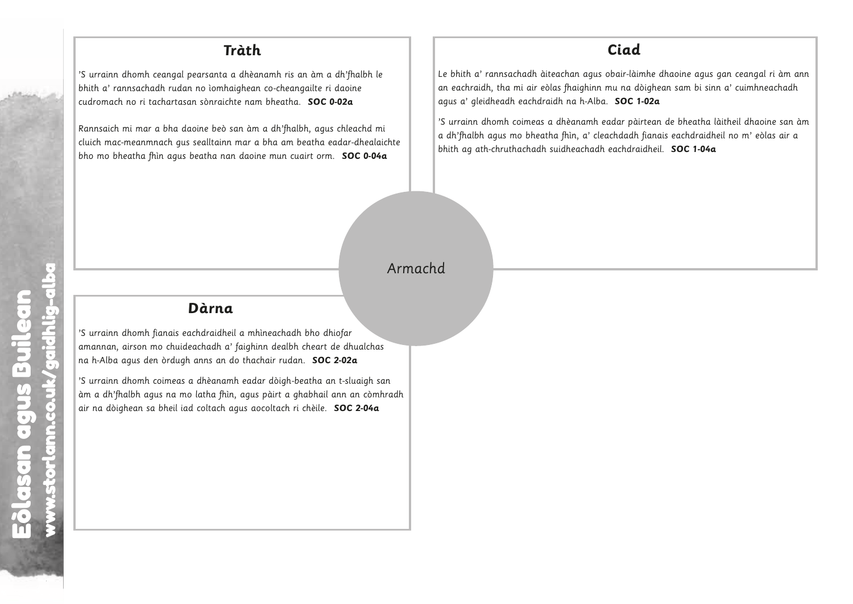'S urrainn dhomh ceangal pearsanta a dhèanamh ris an àm a dh'fhalbh le bhith a' rannsachadh rudan no ìomhaighean co-cheangailte ri daoine cudromach no ri tachartasan sònraichte nam bheatha. **SOC 0-02a**

Rannsaich mi mar a bha daoine beò san àm a dh'fhalbh, agus chleachd mi cluich mac-meanmnach gus sealltainn mar a bha am beatha eadar-dhealaichte bho mo bheatha fhìn agus beatha nan daoine mun cuairt orm. **SOC 0-04a**

#### **Ciad**

Le bhith a' rannsachadh àiteachan agus obair-làimhe dhaoine agus gan ceangal ri àm ann an eachraidh, tha mi air eòlas fhaighinn mu na dòighean sam bi sinn a' cuimhneachadh agus a' gleidheadh eachdraidh na h-Alba. **SOC 1-02a** 

'S urrainn dhomh coimeas a dhèanamh eadar pàirtean de bheatha làitheil dhaoine san àm a dh'fhalbh agus mo bheatha fhìn, a' cleachdadh fianais eachdraidheil no m' eòlas air a bhith ag ath-chruthachadh suidheachadh eachdraidheil. **SOC 1-04a** 

w.storland.co.uk/gaidhlig-albaan.co.uk/gaidhlig-albaan.co.uk/gaidhlig-albaan.co.uk/gaidhlig-albaan.co.uk/gaidhlig-albaan.co.uk/gaidhlig-albaan.co.uk/gaidhlig-albaan.co.uk/gaidhlig-albaan.co.uk/gaidhlig-albaan.co.uk/gaidhli

w.storland.co.uk/gaidhlig-albaan.co.uk/gaidhlig-albaan.co.uk/gaidhlig-albaan.co.uk/gaidhlig-albaan.co.uk/gaidhlig-albaan.co.uk/gaidhlig-albaan.co.uk/gaidhlig-albaan.co.uk/gaidhlig-albaan.co.uk/gaidhlig-albaan.co.uk/gaidhli

w.storland.co.uk/gaidhlig-albaan.co.uk/gaidhlig-albaan.co.uk/gaidhlig-albaan.co.uk/gaidhlig-albaan.co.uk/gaidhlig-albaan.co.uk/gaidhlig-albaan.co.uk/gaidhlig-albaan.co.uk/gaidhlig-albaan.co.uk/gaidhlig-albaan.co.uk/gaidhli

w.storlann.co.uk/gaidhlig-albaan.co.uk/gaidhlig-albaan.co.uk/gaidhlig-albaan.co.uk/gaidhlig-albaan.co.uk/gaidhlig-albaan.co.uk/gaidhlig-albaan.co.uk/gaidhlig-albaan.co.uk/gaidhlig-albaan.co.uk/gaidhlig-albaan.co.uk/gaidhli

w.storland.co.uk/gaidhlig-albaan.co.uk/gaidhlig-albaan.co.uk/gaidhlig-albaan.co.uk/gaidhlig-albaan.co.uk/gaidhlig-albaan.co.uk/gaidhlig-albaan.co.uk/gaidhlig-albaan.co.uk/gaidhlig-albaan.co.uk/gaidhlig-albaan.co.uk/gaidhli

# Armachd nac<br>.<br>. ma<br>.<br>.

l,

ww

#### **Dàrna**

'S urrainn dhomh fianais eachdraidheil a mhìneachadh bho dhiofar amannan, airson mo chuideachadh a' faighinn dealbh cheart de dhualchas na h-Alba agus den òrdugh anns an do thachair rudan. **SOC 2-02a**

ww

'S urrainn dhomh coimeas a dhèanamh eadar dòigh-beatha an t-sluaigh san àm a dh'fhalbh agus na mo latha fhìn, agus pàirt a ghabhail ann an còmhradh air na dòighean sa bheil iad coltach agus aocoltach ri chèile. **SOC 2-04a a**<br>heil<br>anh indo<br>amh hìn, agi **Dàri**<br>Chdrai<br>achad<br>anns dhèa<br>latha<br>colta s<br>an<br>Inradh **Dàrna**<br>
Sa urrainn dhomh fianais eachdraidheil a mhineachadh bho dhiofar<br>
amannan, airson mo chuideadhadh a' faighinn deabh cheart de dhualchas<br>
na h-Alba agus den òrdugh anns an do thachair rudan. SOC 2-02a<br>
Sa urrainn d **u.**<br>Eil a<br>i' fai do t<br>mh e an, a<br>agus **àrn**<br>ndraid<br>chadh<br>nns an<br>dhèan<br>atha f<br>coltach esan<br>Eolasan agus Builean<br>Builean<br>Builean thas<br>h sa<br>bmh<br>**4a** pfar<br>Palua<br>E-sluai<br>In an an COC 2-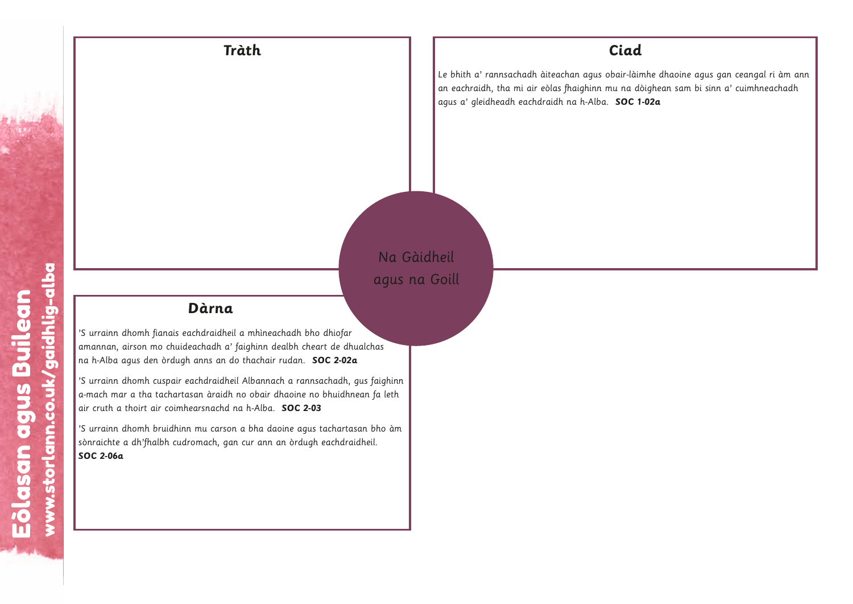#### **Tràth Ciad**

Le bhith a' rannsachadh àiteachan agus obair-làimhe dhaoine agus gan ceangal ri àm ann an eachraidh, tha mi air eòlas fhaighinn mu na dòighean sam bi sinn a' cuimhneachadh agus a' gleidheadh eachdraidh na h-Alba. **SOC 1-02a**

w.storlann.co.uk/gaidhlig-albaan.co.uk/gaidhlig-albaan.co.uk/gaidhlig-albaan.co.uk/gaidhlig-albaan.co.uk/gaidhlig-albaan.co.uk/gaidhlig-albaan.co.uk/gaidhlig-albaan.co.uk/gaidhlig-albaan.co.uk/gaidhlig-albaan.co.uk/gaidhli

w.storlann.co.uk/gaidhlig-albaan.co.uk/gaidhlig-albaan.co.uk/gaidhlig-albaan.co.uk/gaidhlig-albaan.co.uk/gaidhlig-albaan.co.uk/gaidhlig-albaan.co.uk/gaidhlig-albaan.co.uk/gaidhlig-albaan.co.uk/gaidhlig-albaan.co.uk/gaidhli w.storlann.co.uk/gaidhlig-albaan.co.uk/gaidhlig-albaan.co.uk/gaidhlig-albaan.co.uk/gaidhlig-albaan.co.uk/gaidhlig-albaan.co.uk/gaidhlig-albaan.co.uk/gaidhlig-albaan.co.uk/gaidhlig-albaan.co.uk/gaidhlig-albaan.co.uk/gaidhli

Na Gàidheil agus na Goill na<br>.<br>.

#### **Dàrna**

'S urrainn dhomh fianais eachdraidheil a mhìneachadh bho dhiofar amannan, airson mo chuideachadh a' faighinn dealbh cheart de dhualchas na h-Alba agus den òrdugh anns an do thachair rudan. **SOC 2-02a a**<br>heil<br>a' fido<br>lheil<br>dh na son<br>gan Eòlasan agus Builean **urn**<br>raid<br>adh ns al<br>draich<br>u car<br>u carh, D<br>Seach<br>uideac<br>ugh aireacl<br>ireach<br>hinn m<br>udron

'S urrainn dhomh cuspair eachdraidheil Albannach a rannsachadh, gus faighinn a-mach mar a tha tachartasan àraidh no obair dhaoine no bhuidhnean fa leth air cruth a thoirt air coimhearsnachd na h-Alba. **SOC 2-03** s<br>Eòlainn<br>Builean<br>Builean **Estable de la controlata de la controlata de la controlata de la controlata de la controlata de la controlata de la controlata de la controlata de la controlata de la controlata de la controlata de la controlata de la con** 

'S urrainn dhomh bruidhinn mu carson a bha daoine agus tachartasan bho àm sònraichte a dh'fhalbh cudromach, gan cur ann an òrdugh eachdraidheil. **SOC 2-06a**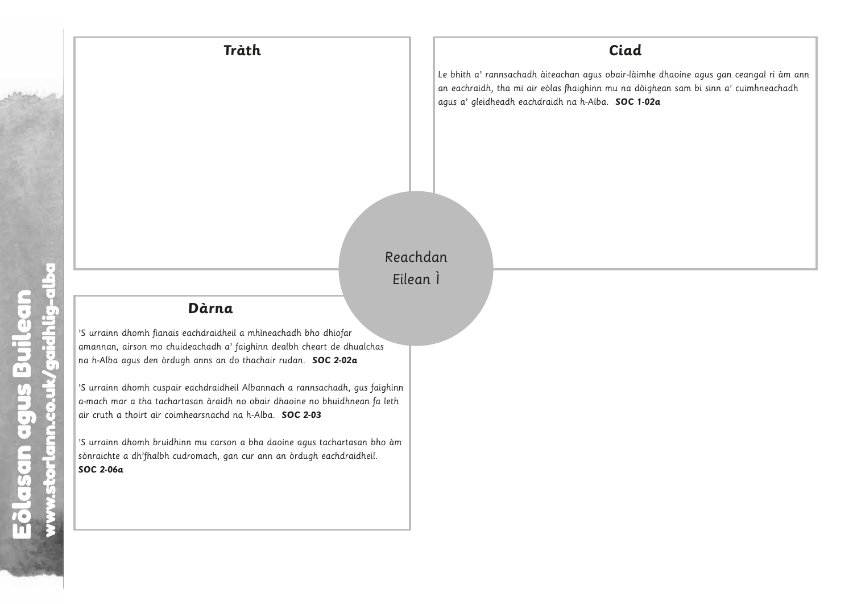w.storland.co.uk/gaidhlig-albaan.co.uk/gaidhlig-albaan.co.uk/gaidhlig-albaan.co.uk/gaidhlig-albaan.co.uk/gaidhlig-albaan.co.uk/gaidhlig-albaan.co.uk/gaidhlig-albaan.co.uk/gaidhlig-albaan.co.uk/gaidhlig-albaan.co.uk/gaidhli

w.storlann.co.uk/gaidhlig-albaan.co.uk/gaidhlig-albaan.co.uk/gaidhlig-albaan.co.uk/gaidhlig-albaan.co.uk/gaidhlig-albaan.co.uk/gaidhlig-albaan.co.uk/gaidhlig-albaan.co.uk/gaidhlig-albaan.co.uk/gaidhlig-albaan.co.uk/gaidhli

Reachdan Eilean Ì w.storland.co.uk/gaidhlig-albaan.co.uk/gaidhlig-albaan.co.uk/gaidhlig-albaan.co.uk/gaidhlig-albaan.co.uk/gaidhlig-albaan.co.uk/gaidhlig-albaan.co.uk/gaidhlig-albaan.co.uk/gaidhlig-albaan.co.uk/gaidhlig-albaan.co.uk/gaidhli w.<br>External<br>and the story of the story of the story of the story of the story of the story of the story of the story of th lea<br>.<br>.

Eòlasan agus Builean

l,

### **Dàrna**

'S urrainn dhomh fianais eachdraidheil a mhìneachadh bho dhiofar amannan, airson mo chuideachadh a' faighinn dealbh cheart de dhualchas na h-Alba agus den òrdugh anns an do thachair rudan. **SOC 2-02a** w.storlann.com<br>Storlann.com<br>Storlann.com<br>Storlann.com

'S urrainn dhomh cuspair eachdraidheil Albannach a rannsachadh, gus faighinn a-mach mar a tha tachartasan àraidh no obair dhaoine no bhuidhnean fa leth air cruth a thoirt air coimhearsnachd na h-Alba. **SOC 2-03** w.storlann.co.uk<br>inn.co.uk<br>baidhligh<br>alba dann.co.uk **Le**<br>il a de theil Alban<br>heil Alban<br>de de de theil<br>son a legan cu **a**<br>heil<br>a' fido<br>lheil<br>dh nd nigan<br>son **Dàri**<br>Chdrai<br>achad<br>an àra<br>umu comach<br>mu comach s<br>Ighinn<br>Ieth<br>O àm we.storlann.com<br>we.uk/gaidotted<br>we.uk/hoteled-alband.com<br>and comments **àrn**<br>Indraidh<br>Chadh<br>Indraich<br>Indraich<br>Indraich<br>Indraich, eolas<br>Eòlasan agus Bailean<br>Builean<br>Builean let India<br>India<br>Andia<br>Andia<br>Andia<br>Andia<br>Andia<br>Andia<br>Andia<br>Andia eòlasan<br>uidead<br>ugh air eacl<br>ir eacl<br>mheal<br>hinn m<br>udron w.storlann.com<br>Union.com<br>Albaam ualcha<br>**a**<br>gus fc<br>nean fi<br>san bl<br>idheil.

'S urrainn dhomh bruidhinn mu carson a bha daoine agus tachartasan bho àm sònraichte a dh'fhalbh cudromach, gan cur ann an òrdugh eachdraidheil. **SOC 2-06a**

ww

ww

ww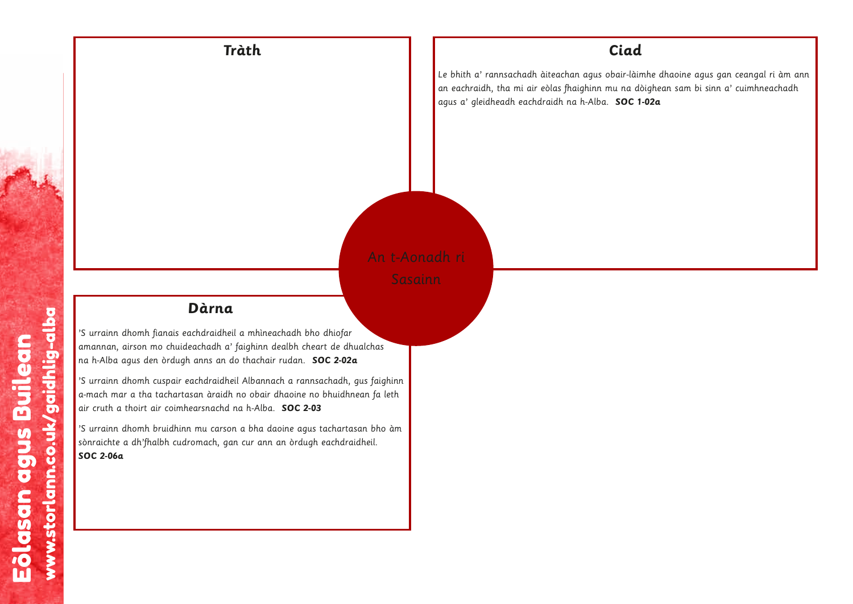

w.storlann.co.uk/gaidhlig-albaan.co.uk/gaidhlig-albaan.co.uk/gaidhlig-albaan.co.uk/gaidhlig-albaan.co.uk/gaidh<br>albaan.co.uk/gaidhlig-albaan.co.uk/gaidhlig-albaan.co.uk/gaidhlig-albaan.co.uk/gaidhlig-albaan.co.uk/gaidhlig-

### **Dàrna**

'S urrainn dhomh fianais eachdraidheil a mhìneachadh bho dhiofar amannan, airson mo chuideachadh a' faighinn dealbh cheart de dhualchas na h-Alba agus den òrdugh anns an do thachair rudan. **SOC 2-02a**

'S urrainn dhomh cuspair eachdraidheil Albannach a rannsachadh, gus faighinn a-mach mar a tha tachartasan àraidh no obair dhaoine no bhuidhnean fa leth air cruth a thoirt air coimhearsnachd na h-Alba. **SOC 2-03** mhìr<br>jhinr<br>lach<br>lban<br>obai<br>l-Alban<br>ur ar dheil and a' faoinntean<br>an do dheil dha aidh an<br>idh an anns anns an anns an anns an anns an an anns an anns an an anns an an anns an an anns an an an an an a Eòlasan agus Builean

'S urrainn dhomh bruidhinn mu carson a bha daoine agus tachartasan bho àm sònraichte a dh'fhalbh cudromach, gan cur ann an òrdugh eachdraidheil. **SOC 2-06a**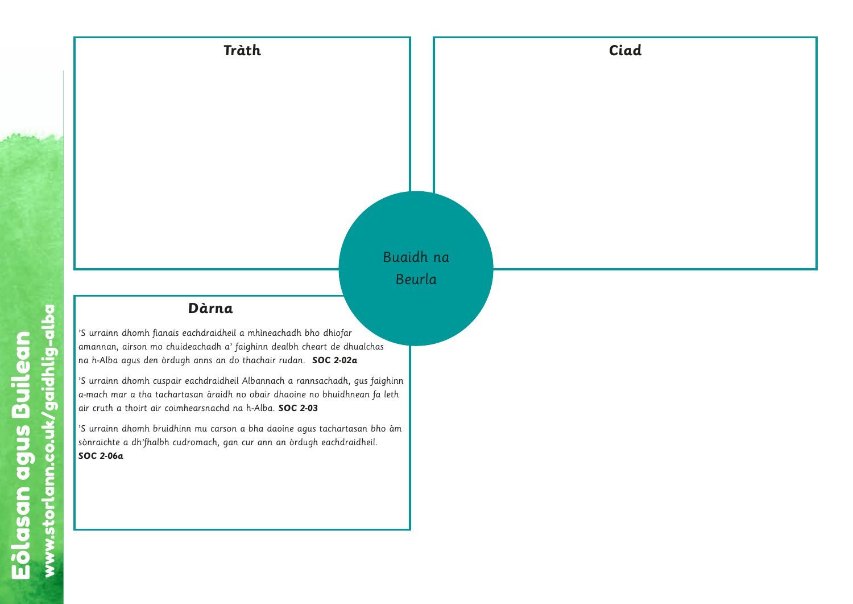w.storlann.co.uk/gaidhlig-albaan.co.uk/gaidhlig-albaan.co.uk/gaidhlig-albaan.co.uk/gaidhlig-albaan.co.uk/gaidh<br>albaan.co.uk/gaidhlig-albaan.co.uk/gaidhlig-albaan.co.uk/gaidhlig-albaan.co.uk/gaidhlig-albaan.co.uk/gaidhlig-

w.storlann.co.uk/gaidhlig-albaan.co.uk/gaidhlig-albaan.co.uk/gaidhlig-albaan.co.uk/gaidhlig-albaan.co.uk/gaidh<br>albaan.co.uk/gaidhlig-albaan.co.uk/gaidhlig-albaan.co.uk/gaidhlig-albaan.co.uk/gaidhlig-albaan.co.uk/gaidhlig-

# Buaidh na Beurla a<br>.<br>. urla<br>...<br>...

w.storlann.co.uk/gaidhlig-albaan.co.uk/gaidhlig-albaan.co.uk/gaidhlig-albaan.co.uk/gaidhlig-albaan.co.uk/gaidh<br>albaan.co.uk/gaidhlig-albaan.co.uk/gaidhlig-albaan.co.uk/gaidhlig-albaan.co.uk/gaidhlig-albaan.co.uk/gaidhlig-

w.storlann.co.uk/gaidhlig-albaan.co.uk/gaidhlig-albaan.co.uk/gaidhlig-albaan.co.uk/gaidhlig-albaan.co.uk/gaidh

# **Dàrna**

'S urrainn dhomh fianais eachdraidheil a mhìneachadh bho dhiofar amannan, airson mo chuideachadh a' faighinn dealbh cheart de dhualchas na h-Alba agus den òrdugh anns an do thachair rudan. **SOC 2-02a** w.storlann.com<br>
Storlanne<br>
Storlanne<br>
Storlanne<br>
Storlanne<br>
Storlanne<br>
Storlanne<br>
Storlanne<br>
Storlanne<br>
Storlanne<br>
Storlanne<br>
Storlanne<br>
Storlanne<br>
Storlanne<br>
Storlanne<br>
Storlanne<br>
Storlanne<br>
Storlanne<br>
Storlanne<br>
Storlann

'S urrainn dhomh cuspair eachdraidheil Albannach a rannsachadh, gus faighinn a-mach mar a tha tachartasan àraidh no obair dhaoine no bhuidhnean fa leth air cruth a thoirt air coimhearsnachd na h-Alba. **SOC 2-03** w.storlann.com<br>Maximum and the store of the correct<br>albaam of the correct of the correct<br>Co.uk/gaidhlightning-correct of the correct of the correct of the correct<br>Co.uk/gaidhlightning-correct of the correct of the correct ;<br>ghinn<br>leth<br>o àm **a**<br>heil<br>a' fido<br>dheil<br>dh r<br>son<br>gan charaí<br>achad<br>anns<br>acharaí<br>ann àr<br>mu comach s<br>Ighinn<br>Ieth<br>Io àm whine.<br>Anna diann.co.uk<br>bair<br>Alba dann **a**<br>eil a r<br>a' faig<br>do th<br>heil Alh no<br>d na h<br>gan cu

'S urrainn dhomh bruidhinn mu carson a bha daoine agus tachartasan bho àm sònraichte a dh'fhalbh cudromach, gan cur ann an òrdugh eachdraidheil. **SOC 2-06a**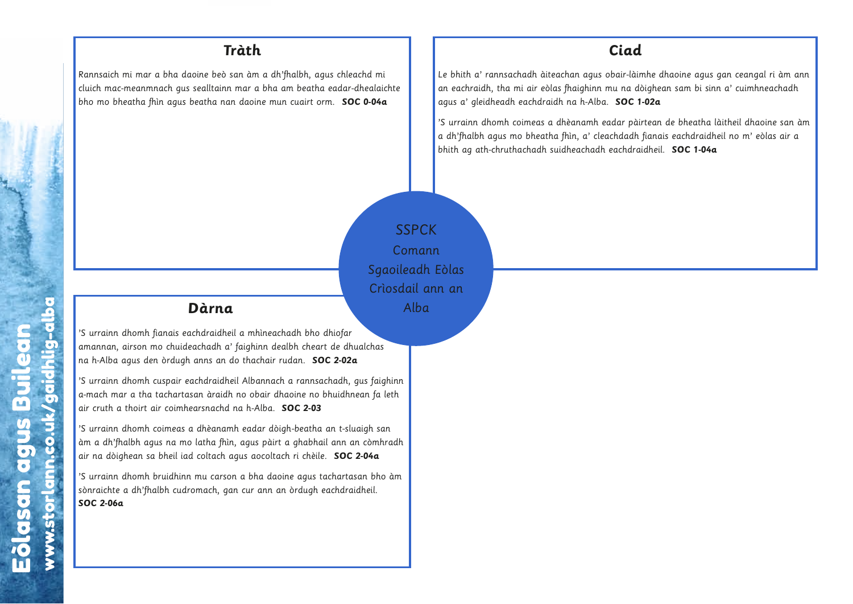Rannsaich mi mar a bha daoine beò san àm a dh'fhalbh, agus chleachd mi cluich mac-meanmnach gus sealltainn mar a bha am beatha eadar-dhealaichte bho mo bheatha fhìn agus beatha nan daoine mun cuairt orm. **SOC 0-04a**

#### **Ciad**

Le bhith a' rannsachadh àiteachan agus obair-làimhe dhaoine agus gan ceangal ri àm ann an eachraidh, tha mi air eòlas fhaighinn mu na dòighean sam bi sinn a' cuimhneachadh agus a' gleidheadh eachdraidh na h-Alba. **SOC 1-02a**

'S urrainn dhomh coimeas a dhèanamh eadar pàirtean de bheatha làitheil dhaoine san àm a dh'fhalbh agus mo bheatha fhìn, a' cleachdadh fianais eachdraidheil no m' eòlas air a bhith ag ath-chruthachadh suidheachadh eachdraidheil. **SOC 1-04a**

SSPCK Comann Sgaoileadh Eòlas Crìosdail ann an Alba All<br>ann ann ann ann ann an

 $\overline{\phantom{a}}$ 

### **Dàrna**

'S urrainn dhomh fianais eachdraidheil a mhìneachadh bho dhiofar amannan, airson mo chuideachadh a' faighinn dealbh cheart de dhualchas na h-Alba agus den òrdugh anns an do thachair rudan. **SOC 2-02a** w.storlann.com<br>
w.storlann.com<br>
w.storlann.com<br>
w.storlann.com<br>
w.storlann.com<br>
w.storlann.com<br>
w.storlann.com<br>
w.storlann.com<br>
w.storlann.com<br>
w.storlann.com<br>
w.storlann.com<br>
w.storlann.com<br>
w.storlann.com<br>
w.storlann.com w.storlann.co.uk/gaidhlig-alba leadheilean<br>An a' faoin do 1<br>An aidh an aidh an aidh an aidh an aidh an aidh an aidh an aidh an aidh an aidh an aidh an aidh an aidh an aidh an aidh an aidh an aidh an aidh an aidh an aidh an aidh an aidh an aidh an aidh a **u.d.**<br>dheil<br>dhei<br>iidh<br>hd r amh<br>fhìn,<br>exon<br>gar achdra<br>Eachad<br>Lanns<br>achdra<br>agus Builean<br>An Dua<br>Dua<br>Containneach<br>anns agus Builean<br>Containneach<br>anns agus Builean<br>Containneach<br>Containneach

'S urrainn dhomh cuspair eachdraidheil Albannach a rannsachadh, gus faighinn a-mach mar a tha tachartasan àraidh no obair dhaoine no bhuidhnean fa leth air cruth a thoirt air coimhearsnachd na h-Alba. **SOC 2-03**

'S urrainn dhomh coimeas a dhèanamh eadar dòigh-beatha an t-sluaigh san àm a dh'fhalbh agus na mo latha fhìn, agus pàirt a ghabhail ann an còmhradh air na dòighean sa bheil iad coltach agus aocoltach ri chèile. **SOC 2-04a** has<br>faighi<br>fa let<br>h san<br>**4a**<br>bho à il.<br>il.

'S urrainn dhomh bruidhinn mu carson a bha daoine agus tachartasan bho àm sònraichte a dh'fhalbh cudromach, gan cur ann an òrdugh eachdraidheil. **SOC 2-06a**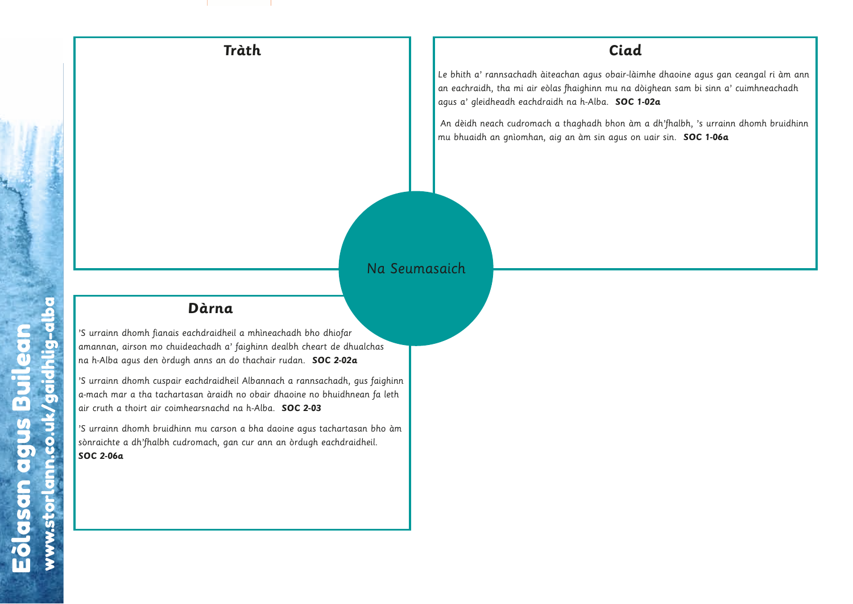An dèidh neach cudromach a thaghadh bhon àm a dh'fhalbh, 's urrainn dhomh bruidhinn mu bhuaidh an gnìomhan, aig an àm sin agus on uair sin. **SOC 1-06a**

#### Na Seumasaich

w.storlann.co.uk/gaidhlig-albaan.co.uk/gaidhlig-albaan.co.uk/gaidhlig-albaan.co.uk/gaidhlig-albaan.co.uk/gaidh<br>ann an 2010-2011

Eòlasan agus Builean

#### **Dàrna**

'S urrainn dhomh fianais eachdraidheil a mhìneachadh bho dhiofar amannan, airson mo chuideachadh a' faighinn dealbh cheart de dhualchas na h-Alba agus den òrdugh anns an do thachair rudan. **SOC 2-02a**  $\begin{array}{c} \n\sqrt{5} \\
\hline\n\end{array}$   $\begin{array}{c} \n\sqrt{5} \\
\hline\n\end{array}$   $\begin{array}{c} \n\sqrt{5} \\
\hline\n\end{array}$   $\begin{array}{c} \n\sqrt{5} \\
\hline\n\end{array}$   $\begin{array}{c} \n\sqrt{5} \\
\hline\n\end{array}$ 

'S urrainn dhomh cuspair eachdraidheil Albannach a rannsachadh, gus faighinn a-mach mar a tha tachartasan àraidh no obair dhaoine no bhuidhnean fa leth air cruth a thoirt air coimhearsnachd na h-Alba. **SOC 2-03** inea<br>in d<br>hair co.uk<br>air co.uk<br>alba.adann.co.uk eil a m<br>' faigh<br>do thc<br>eil Alb<br>n n o n<br>n cur<br>an cur **u.d.**<br>Undianner.com.com.co.uk<br>Albardanner.com.com.com<br>Baidhlight of the store of the store of the store of the store of the store of the store of the store of the store of the store of the store of the store of the store achdra<br>Eachad<br>Lanns<br>achdra<br>San à lanns<br>Comacland<br>Comacland w.storlann.co.uk/gaidhlig-albaan.co.uk/gaidhlig-albaan.co.uk/gaidhlig-albaan.co.uk/gaidhlig-albaan.co.uk/gaidhlig-albaan.co.uk/gaidhlig-albaan.co.uk/gaidhlig-albaan.co.uk/gaidhlig-albaan.co.uk/gaidhlig-albaan.co.uk/gaidhli has<br>faighi<br>fa let<br>bho à<br>il.

'S urrainn dhomh bruidhinn mu carson a bha daoine agus tachartasan bho àm sònraichte a dh'fhalbh cudromach, gan cur ann an òrdugh eachdraidheil. **SOC 2-06a**

ww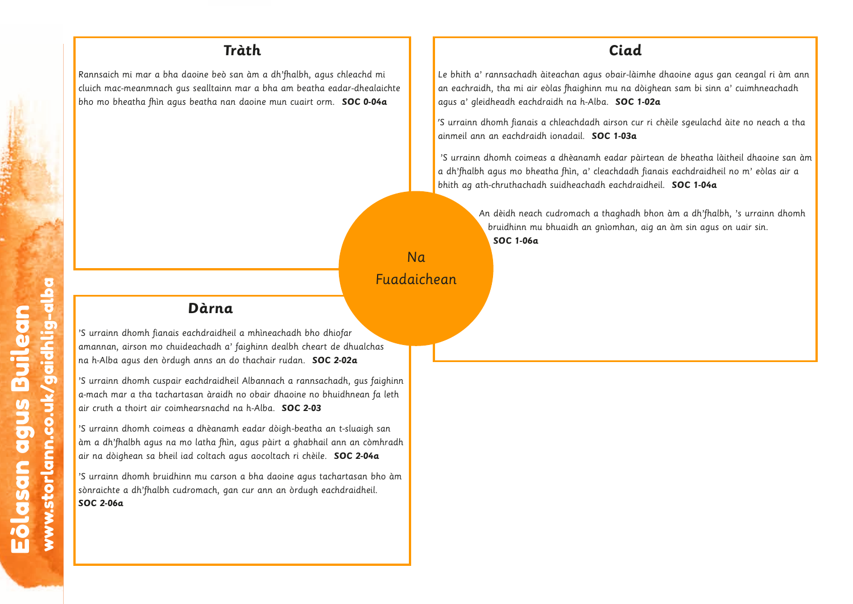Rannsaich mi mar a bha daoine beò san àm a dh'fhalbh, agus chleachd mi cluich mac-meanmnach gus sealltainn mar a bha am beatha eadar-dhealaichte bho mo bheatha fhìn agus beatha nan daoine mun cuairt orm. **SOC 0-04a**

#### **Ciad**

Le bhith a' rannsachadh àiteachan agus obair-làimhe dhaoine agus gan ceangal ri àm ann an eachraidh, tha mi air eòlas fhaighinn mu na dòighean sam bi sinn a' cuimhneachadh agus a' gleidheadh eachdraidh na h-Alba. **SOC 1-02a**

'S urrainn dhomh fianais a chleachdadh airson cur ri chèile sgeulachd àite no neach a tha ainmeil ann an eachdraidh ionadail. **SOC 1-03a**

'S urrainn dhomh coimeas a dhèanamh eadar pàirtean de bheatha làitheil dhaoine san àm a dh'fhalbh agus mo bheatha fhìn, a' cleachdadh fianais eachdraidheil no m' eòlas air a bhith ag ath-chruthachadh suidheachadh eachdraidheil. **SOC 1-04a**

> An dèidh neach cudromach a thaghadh bhon àm a dh'fhalbh, 's urrainn dhomh bruidhinn mu bhuaidh an gnìomhan, aig an àm sin agus on uair sin. **SOC 1-06a**

> > w.storlann.co.uk/gaidhlig-albaan.co.uk/gaidhlig-albaan.co.uk/gaidhlig-albaan.co.uk/gaidhlig-albaan.co.uk/gaidhlig-albaan.co.uk/gaidhlig-albaan.co.uk/gaidhlig-albaan.co.uk/gaidhlig-albaan.co.uk/gaidhlig-albaan.co.uk/gaidhli

Eòlasan agus Builean

### **Dàrna**

'S urrainn dhomh fianais eachdraidheil a mhìneachadh bho dhiofar amannan, airson mo chuideachadh a' faighinn dealbh cheart de dhualchas na h-Alba agus den òrdugh anns an do thachair rudan. **SOC 2-02a** w.storlann.com<br>storlann.com/storlann.com/storlann.com/storlann.com/storlann.com/storlann.com/storlann.com/storlann.com/storlann.com/storlann.com/storlann.com/storlann.com/storlann.com/storlann.com/storlann.com/storlann.com

'S urrainn dhomh cuspair eachdraidheil Albannach a rannsachadh, gus faighinn a-mach mar a tha tachartasan àraidh no obair dhaoine no bhuidhnean fa leth air cruth a thoirt air coimhearsnachd na h-Alba. **SOC 2-03** mhìn<br>nacha<br>bann<br>obai<br>--Alb<br>nus p<br>aocc<br>pha **La**<br>Ineilasan agus Builean<br>And na amh e<br>And na amh e<br>Ann, a<br>Ann agus Builean<br>Ann agus Builean agus Builean **u.**<br>eila<sup>,</sup><br>indication.com.com<br>inding-alban.com<br>anding-alban.com.com.com<br>anding-alban.com.com **arn**<br>ndraid<br>chadh<br>nns an<br>hdraicn àrain<br>dhèan<br>atha f<br>coltach<br>mu carnach, ulchas<br>us faig<br>un fa l<br>igh sa<br>còmhì<br>**04a**<br>n bho<br>heil.

Na

Fuadaichean

ich<br>.<br>.

'S urrainn dhomh coimeas a dhèanamh eadar dòigh-beatha an t-sluaigh san àm a dh'fhalbh agus na mo latha fhìn, agus pàirt a ghabhail ann an còmhradh air na dòighean sa bheil iad coltach agus aocoltach ri chèile. **SOC 2-04a** phinn<br>Ieth<br>Internadh<br>Internadh .<br>inn<br>udh<br>im

'S urrainn dhomh bruidhinn mu carson a bha daoine agus tachartasan bho àm sònraichte a dh'fhalbh cudromach, gan cur ann an òrdugh eachdraidheil. **SOC 2-06a**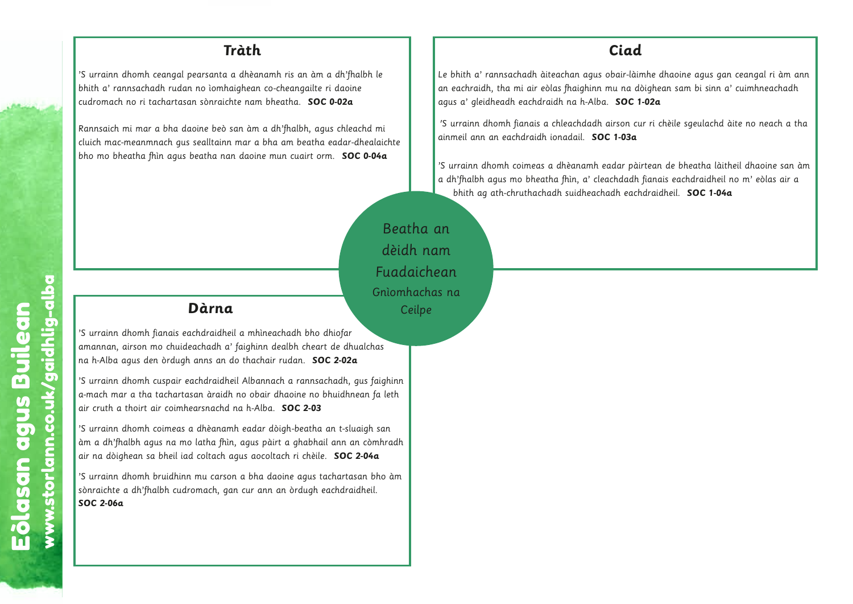'S urrainn dhomh ceangal pearsanta a dhèanamh ris an àm a dh'fhalbh le bhith a' rannsachadh rudan no ìomhaighean co-cheangailte ri daoine cudromach no ri tachartasan sònraichte nam bheatha. **SOC 0-02a**

Rannsaich mi mar a bha daoine beò san àm a dh'fhalbh, agus chleachd mi cluich mac-meanmnach gus sealltainn mar a bha am beatha eadar-dhealaichte bho mo bheatha fhìn agus beatha nan daoine mun cuairt orm. **SOC 0-04a**

#### **Ciad**

Le bhith a' rannsachadh àiteachan agus obair-làimhe dhaoine agus gan ceangal ri àm ann an eachraidh, tha mi air eòlas fhaighinn mu na dòighean sam bi sinn a' cuimhneachadh agus a' gleidheadh eachdraidh na h-Alba. **SOC 1-02a**

'S urrainn dhomh fianais a chleachdadh airson cur ri chèile sgeulachd àite no neach a tha ainmeil ann an eachdraidh ionadail. **SOC 1-03a**

'S urrainn dhomh coimeas a dhèanamh eadar pàirtean de bheatha làitheil dhaoine san àm a dh'fhalbh agus mo bheatha fhìn, a' cleachdadh fianais eachdraidheil no m' eòlas air a bhith ag ath-chruthachadh suidheachadh eachdraidheil. **SOC 1-04a**

# Beatha an dèidh nam Fuadaichean Gnìomhachas na Ceilpe w.co.uk/gaidhlightarrane.com/ ilpe<br>Builean<br>Builean nacl<br>eilp<br>-

#### **Dàrna**

'S urrainn dhomh fianais eachdraidheil a mhìneachadh bho dhiofar amannan, airson mo chuideachadh a' faighinn dealbh cheart de dhualchas na h-Alba agus den òrdugh anns an do thachair rudan. **SOC 2-02a** Storlann.com<br>
Storlann.com<br>
Storlann.com<br>
Storlann.com<br>
Storlann.com<br>
Storlann.com<br>
Storlann.com<br>
Storlann.com<br>
Storlann.com<br>
Storlann.com<br>
Storlann.com<br>
Storlann.com<br>
Storlann.com<br>
Storlann.com<br>
Storlann.com<br>
Storlann.com

'S urrainn dhomh cuspair eachdraidheil Albannach a rannsachadh, gus faighinn a-mach mar a tha tachartasan àraidh no obair dhaoine no bhuidhnean fa leth air cruth a thoirt air coimhearsnachd na h-Alba. **SOC 2-03**

'S urrainn dhomh coimeas a dhèanamh eadar dòigh-beatha an t-sluaigh san àm a dh'fhalbh agus na mo latha fhìn, agus pàirt a ghabhail ann an còmhradh air na dòighean sa bheil iad coltach agus aocoltach ri chèile. **SOC 2-04a** whine<br>inn dai<br>bair<br>bair<br>alba dan dann.co.uk **a**<br>eil a r<br>a' faig<br>do th<br>heil Al<br>heil An<br>an cu<br>agus ban<br>agus ban<br>agus ban<br>agus ban<br>agus ban **a**<br>heil<br>a' fido<br>dheil<br>dh rud minh.<br>hìn, hag<br>son gan **Dàr**<br>chdrai<br>achad<br>anns<br>acha ann àr<br>dhèa<br>latha<br>latha<br>mu comach Eòlasan agus Builean **inditation of the conditional condition**<br>drain and drain and that if a can alba<br>blitaculach, a can ach, Eolas each<br>Aluidea<br>Aluidean air eac<br>An air each<br>An an an Dùidean<br>An an Aluidean<br>An an Aluidean<br>Cudron iom<br>C<br>inn<br>eth<br>adh<br>àm alchas<br>Ius fai<br>Pean fa<br>Aigh su còmh<br>**2-04a**<br>An bheil.

'S urrainn dhomh bruidhinn mu carson a bha daoine agus tachartasan bho àm sònraichte a dh'fhalbh cudromach, gan cur ann an òrdugh eachdraidheil. **SOC 2-06a**